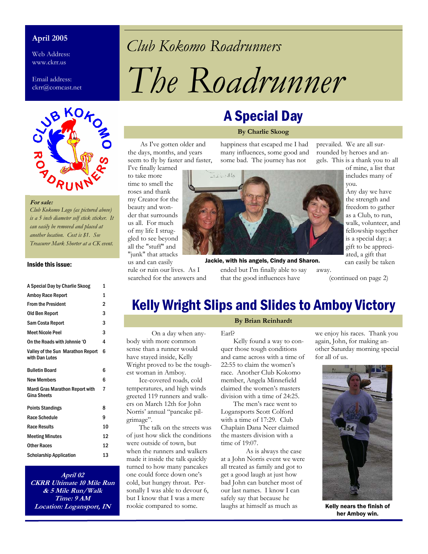#### **April 2005**

Web Address: www.ckrr.us

Email address: ckrr@comcast.net



#### **For sale:**

*Club Kokomo Logo (as pictured above) is a 5 inch diameter self stick sticker. It can easily be removed and placed at another location. Cost is \$1. See Treasurer Mark Shorter at a CK event.* 

#### Inside this issue:

A Special Day by Charlie Skoog 1

| A Special Day by Unarile Skoog                               | ш  |
|--------------------------------------------------------------|----|
| <b>Amboy Race Report</b>                                     | 1  |
| <b>From the President</b>                                    | 2  |
| Old Ben Report                                               | 3  |
| Sam Costa Report                                             | 3  |
| <b>Meet Nicole Peel</b>                                      | 3  |
| On the Roads with Johnnie 'O                                 | 4  |
| Valley of the Sun Marathon Report<br>with Dan Lutes          | 6  |
| <b>Bulletin Board</b>                                        | 6  |
| <b>New Members</b>                                           | 6  |
| <b>Mardi Gras Marathon Report with</b><br><b>Gina Sheets</b> | 7  |
| <b>Points Standings</b>                                      | 8  |
| Race Schedule                                                | 9  |
| <b>Race Results</b>                                          | 10 |
| <b>Meeting Minutes</b>                                       | 12 |
| Other Races                                                  | 12 |
| <b>Scholarship Application</b>                               | 13 |

**April 02 CKRR Ultimate 10 Mile Run & 5 Mile Run/Walk Time: 9 AM Location: Logansport, IN**

## *Club Kokomo Roadrunners*

# *The Roadrunner*

#### As I've gotten older and the days, months, and years seem to fly by faster and faster,

I've finally learned to take more time to smell the roses and thank my Creator for the beauty and wonder that surrounds us all. For much of my life I struggled to see beyond all the "stuff" and "junk" that attacks us and can easily

rule or ruin our lives. As I searched for the answers and A Special Day

#### **By Charlie Skoog**

happiness that escaped me I had many influences, some good and some bad. The journey has not



ended but I'm finally able to say that the good influences have away. Jackie, with his angels, Cindy and Sharon.

prevailed. We are all surrounded by heroes and angels. This is a thank you to all

> of mine, a list that includes many of you.

Any day we have the strength and freedom to gather as a Club, to run, walk, volunteer, and fellowship together is a special day; a gift to be appreciated, a gift that can easily be taken

(continued on page 2)

### Kelly Wright Slips and Slides to Amboy Victory

 On a day when anybody with more common sense than a runner would have stayed inside, Kelly Wright proved to be the toughest woman in Amboy.

 Ice-covered roads, cold temperatures, and high winds greeted 119 runners and walkers on March 12th for John Norris' annual "pancake pilgrimage".

 The talk on the streets was of just how slick the conditions were outside of town, but when the runners and walkers made it inside the talk quickly turned to how many pancakes one could force down one's cold, but hungry throat. Personally I was able to devour 6, but I know that I was a mere rookie compared to some.

#### **By Brian Reinhardt**

#### Earl?

 Kelly found a way to conquer those tough conditions and came across with a time of 22:55 to claim the women's race. Another Club Kokomo member, Angela Minnefield claimed the women's masters division with a time of 24:25.

 The men's race went to Logansports Scott Colford with a time of 17:29. Club Chaplain Dana Neer claimed the masters division with a time of 19:07.

 As is always the case at a John Norris event we were all treated as family and got to get a good laugh at just how bad John can butcher most of our last names. I know I can safely say that because he laughs at himself as much as

we enjoy his races. Thank you again, John, for making another Saturday morning special for all of us.



Kelly nears the finish of her Amboy win.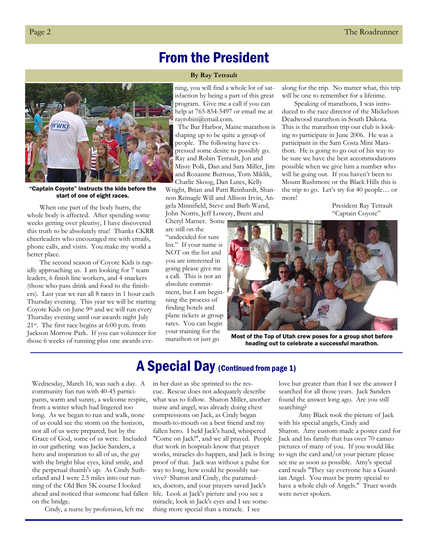### From the President

#### **By Ray Tetrault**

**WWK** 

"Captain Coyote" instructs the kids before the start of one of eight races.

When one part of the body hurts, the whole body is affected. After spending some weeks getting over pleurisy, I have discovered this truth to be absolutely true! Thanks CKRR cheerleaders who encouraged me with emails, phone calls, and visits. You make my world a better place.

The second season of Coyote Kids is rapidly approaching us. I am looking for 7 team leaders, 6 finish line workers, and 4 snackers (those who pass drink and food to the finishers). Last year we ran all 8 races in 1 hour each Thursday evening. This year we will be starting Coyote Kids on June 9<sup>th</sup> and we will run every Thursday evening until our awards night July 21st. The first race begins at 6:00 p.m. from Jackson Morrow Park. If you can volunteer for those 6 weeks of running plus one awards evening, you will find a whole lot of satisfaction by being a part of this great program. Give me a call if you can help at 765-854-5497 or email me at rayrobin@email.com.

The Bar Harbor, Maine marathon is shaping up to be quite a group of people. The following have expressed some desire to possibly go. Ray and Robin Tetrault, Jon and Missy Polk, Dan and Sara Miller, Jim and Roxanne Burrous, Tom Miklik, Charlie Skoog, Dan Lutes, Kelly Wright, Brian and Patti Reinhardt, Shannon Reinagle Will and Allison Irvin, Angela Minnifield, Steve and Barb Wand, John Norris, Jeff Lowery, Brent and

Cheryl Marner. Some are still on the

"undecided for sure list." If your name is NOT on the list and you are interested in going please give me a call. This is not an absolute commitment, but I am beginning the process of finding hotels and plane tickets at group rates. You can begin your training for the marathon or just go

along for the trip. No matter what, this trip will be one to remember for a lifetime.

Speaking of marathons, I was introduced to the race director of the Mickelson Deadwood marathon in South Dakota. This is the marathon trip our club is looking to participate in June 2006. He was a participant in the Sam Costa Mini Marathon. He is going to go out of his way to be sure we have the best accommodations possible when we give him a number who will be going out. If you haven't been to Mount Rushmore or the Black Hills this is the trip to go. Let's try for 40 people… or more!

> President Ray Tetrault "Captain Coyote"



Most of the Top of Utah crew poses for a group shot before heading out to celebrate a successful marathon.

### A Special Day (Continued from page 1)

Wednesday, March 16, was such a day. A community fun run with 40-45 participants, warm and sunny, a welcome respite, from a winter which had lingered too long. As we began to run and walk, none of us could see the storm on the horizon, not all of us were prepared, but by the Grace of God, some of us were. Included in our gathering was Jackie Sanders, a hero and inspiration to all of us, the guy with the bright blue eyes, kind smile, and the perpetual thumb's up. As Cindy Sutherland and I were 2.5 miles into our running of the Old Ben 5K course I looked ahead and noticed that someone had fallen on the bridge.

Cindy, a nurse by profession, left me

in her dust as she sprinted to the rescue. Rescue does not adequately describe what was to follow. Sharon Miller, another nurse and angel, was already doing chest compressions on Jack, as Cindy began mouth-to-mouth on a best friend and my fallen hero. I held Jack's hand, whispered "Come on Jack!", and we all prayed. People that work in hospitals know that prayer works, miracles do happen, and Jack is living proof of that. Jack was without a pulse for way to long, how could he possibly survive? Sharon and Cindy, the paramedics, doctors, and your prayers saved Jack's life. Look at Jack's picture and you see a miracle, look in Jack's eyes and I see something more special than a miracle. I see

love but greater than that I see the answer I searched for all those years. Jack Sanders found the answer long ago. Are you still searching?

 Amy Black took the picture of Jack with his special angels, Cindy and Sharon. Amy custom made a poster card for Jack and his family that has over 70 cameo pictures of many of you. If you would like to sign the card and/or your picture please see me as soon as possible. Amy's special card reads "They say everyone has a Guardian Angel. You must be pretty special to have a whole club of Angels." Truer words were never spoken.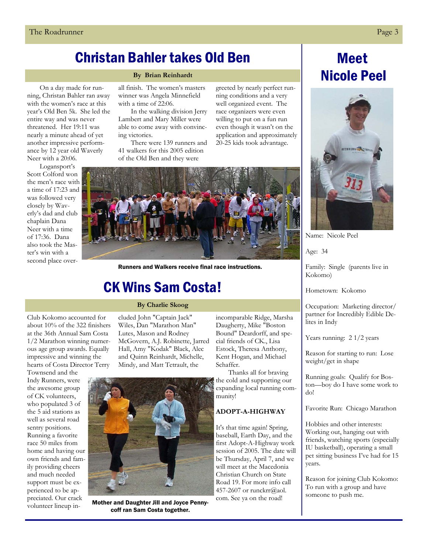### Christan Bahler takes Old Ben

#### **By Brian Reinhardt**

On a day made for running, Christan Bahler ran away with the women's race at this year's Old Ben 5k. She led the entire way and was never threatened. Her 19:11 was nearly a minute ahead of yet another impressive performance by 12 year old Waverly Neer with a 20:06.

Logansport's Scott Colford won the men's race with a time of 17:23 and was followed very closely by Waverly's dad and club chaplain Dana Neer with a time of 17:36. Dana also took the Master's win with a second place overall finish. The women's masters winner was Angela Minnefield with a time of 22:06.

In the walking division Jerry Lambert and Mary Miller were able to come away with convincing victories.

There were 139 runners and 41 walkers for this 2005 edition of the Old Ben and they were

greeted by nearly perfect running conditions and a very well organized event. The race organizers were even willing to put on a fun run even though it wasn't on the application and approximately 20-25 kids took advantage.



Runners and Walkers receive final race instructions.

### CK Wins Sam Costa!

#### **By Charlie Skoog**

cluded John "Captain Jack" Wiles, Dan "Marathon Man" Lutes, Mason and Rodney McGovern, A.J. Robinette, Jarred Hall, Amy "Kodak" Black, Alec and Quinn Reinhardt, Michelle, Mindy, and Matt Tetrault, the

Club Kokomo accounted for about 10% of the 322 finishers at the 36th Annual Sam Costa 1/2 Marathon winning numerous age group awards. Equally impressive and winning the hearts of Costa Director Terry

Townsend and the Indy Runners, were the awesome group of CK volunteers, who populated 3 of the 5 aid stations as well as several road sentry positions. Running a favorite race 50 miles from home and having our own friends and family providing cheers and much needed support must be experienced to be appreciated. Our crack volunteer lineup in-



Mother and Daughter Jill and Joyce Penny-<br>
Com. See ya on the road! coff ran Sam Costa together.

incomparable Ridge, Marsha Daugherty, Mike "Boston Bound" Deardorff, and special friends of CK., Lisa Estock, Theresa Anthony, Kent Hogan, and Michael Schaffer.

Thanks all for braving the cold and supporting our expanding local running community!

#### **ADOPT-A-HIGHWAY**

It's that time again! Spring, baseball, Earth Day, and the first Adopt-A-Highway work session of 2005. The date will be Thursday, April 7, and we will meet at the Macedonia Christian Church on State Road 19. For more info call 457-2607 or runckrr@aol.

### Meet Nicole Peel



Name: Nicole Peel

Age: 34

Family: Single (parents live in Kokomo)

Hometown: Kokomo

Occupation: Marketing director/ partner for Incredibly Edible Delites in Indy

Years running: 2 1/2 years

Reason for starting to run: Lose weight/get in shape

Running goals: Qualify for Boston—boy do I have some work to do!

Favorite Run: Chicago Marathon

Hobbies and other interests: Working out, hanging out with friends, watching sports (especially IU basketball), operating a small pet sitting business I've had for 15 years.

Reason for joining Club Kokomo: To run with a group and have someone to push me.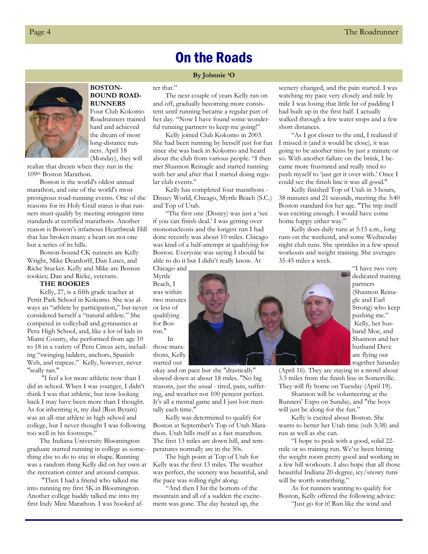### On the Roads

#### **By Johnnie 'O**



**BOSTON-BOUND ROAD-RUNNERS**  Four Club Kokomo Roadrunners trained

hard and achieved the dream of most long-distance runners. April 18 (Monday), they will

realize that dream when they run in the 109th Boston Marathon.

Boston is the world's oldest annual marathon, and one of the world's most prestigious road-running events. One of the reasons for its Holy Grail status is that runners must qualify by meeting stringent time standards at certified marathons. Another reason is Boston's infamous Heartbreak Hill that has broken many a heart on not one but a series of its hills.

Boston-bound CK runners are Kelly Wright, Mike Deardorff, Dan Lutes, and Ricke Stucker. Kelly and Mike are Boston rookies; Dan and Ricke, veterans.

#### **THE ROOKIES**

Kelly, 27, is a fifth grade teacher at Pettit Park School in Kokomo. She was always an "athlete by participation," but never considered herself a "natural athlete." She competed in volleyball and gymnastics at Peru High School, and, like a lot of kids in Miami County, she performed from age 10 to 18 in a variety of Peru Circus acts, including "swinging ladders, anchors, Spanish Web, and trapeze." Kelly, however, never "really ran."

 "I feel a lot more athletic now than I did in school. When I was younger, I didn't think I was that athletic, but now looking back I may have been more than I thought. As for inheriting it, my dad (Ron Byram) was an all-star athlete in high school and college, but I never thought I was following too well in his footsteps."

The Indiana University Bloomington graduate started running in college as something else to do to stay in shape. Running was a random thing Kelly did on her own at the recreation center and around campus.

 "Then I had a friend who talked me into running my first 5K in Bloomington. Another college buddy talked me into my first Indy Mini Marathon. I was hooked after that."

The next couple of years Kelly ran on and off, gradually becoming more consistent until running became a regular part of her day. "Now I have found some wonderful running partners to keep me going!"

Kelly joined Club Kokomo in 2003. She had been running by herself just for fun since she was back in Kokomo and heard about the club from various people. "I then met Shannon Reinagle and started running with her and after that I started doing regular club events."

Kelly has completed four marathons - Disney World, Chicago, Myrtle Beach (S.C.) and Top of Utah.

"The first one (Disney) was just a 'see if you can finish deal.' I was getting over mononucleosis and the longest run I had done recently was about 10 miles. Chicago was kind of a half-attempt at qualifying for Boston. Everyone was saying I should be able to do it but I didn't really know. At

Chicago and Myrtle Beach, I was within two minutes or less of qualifying for Boston."

 In those marathons, Kelly started out

okay and on pace but she "drastically" slowed down at about 18 miles. "No big reasons, just the usual - tired, pain, suffering, and weather not 100 percent perfect. It's all a mental game and I just lost mentally each time."

Kelly was determined to qualify for Boston at September's Top of Utah Marathon. Utah bills itself as a fast marathon. The first 13 miles are down hill, and temperatures normally are in the 50s.

The high point at Top of Utah for Kelly was the first 13 miles. The weather was perfect, the scenery was beautiful, and the pace was rolling right along.

"And then I hit the bottom of the mountain and all of a sudden the excitement was gone. The day heated up, the

scenery changed, and the pain started. I was watching my pace very closely and mile by mile I was losing that little bit of padding I had built up in the first half. I actually walked through a few water stops and a few short distances.

"As I got closer to the end, I realized if I missed it (and it would be close), it was going to be another miss by just a minute or so. With another failure on the brink, I became more frustrated and really tried to push myself to 'just get it over with.' Once I could see the finish line it was all good."

Kelly finished Top of Utah in 3 hours, 38 minutes and 21 seconds, meeting the 3:40 Boston standard for her age. "The trip itself was exciting enough. I would have come home happy either way."

Kelly does daily runs at 5:15 a.m., long runs on the weekend, and some Wednesday night club runs. She sprinkles in a few speed workouts and weight training. She averages 35-45 miles a week.



"I have two very dedicated training partners (Shannon Reinagle and Earl Strong) who keep pushing me." Kelly, her husband Moe, and Shannon and her husband Dave are flying out together Saturday

(April 16). They are staying in a motel about 3.5 miles from the finish line in Somerville. They will fly home on Tuesday (April 19).

Shannon will be volunteering at the Runners' Expo on Sunday, and "the boys will just be along for the fun."

Kelly is excited about Boston. She wants to better her Utah time (sub 3:38) and run as well as she can.

"I hope to peak with a good, solid 22 mile or so training run. We've been hitting the weight room pretty good and working in a few hill workouts. I also hope that all those beautiful Indiana 20-degree, icy/snowy runs will be worth something."

As for runners wanting to qualify for Boston, Kelly offered the following advice: "Just go for it! Run like the wind and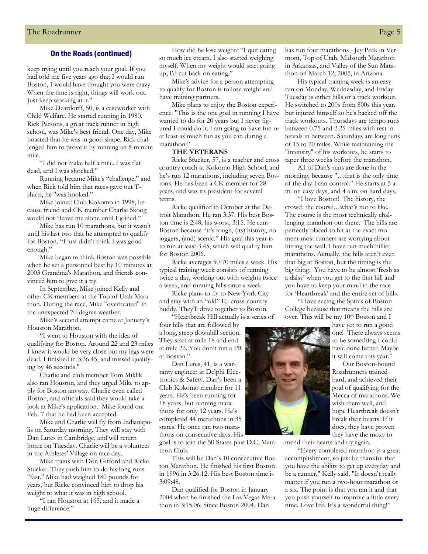#### On the Roads (continued)

keep trying until you reach your goal. If you had told me five years ago that I would run Boston, I would have thought you were crazy. When the time is right, things will work out. Just keep working at it."

Mike Deardorff, 50, is a caseworker with Child Welfare. He started running in 1980. Rick Parsons, a great track runner in high school, was Mike's best friend. One day, Mike boasted that he was in good shape. Rick challenged him to prove it by running an 8-minute mile.

"I did not make half a mile. I was flat dead, and I was shocked."

Running became Mike's "challenge," and when Rick told him that races gave out Tshirts, he "was hooked."

Mike joined Club Kokomo in 1998, because friend and CK member Charlie Skoog would not "leave me alone until I joined."

Mike has run 10 marathons, but it wasn't until his last two that he attempted to qualify for Boston. "I just didn't think I was good enough."

Mike began to think Boston was possible when he set a personnel best by 10 minutes at 2003 Grandma's Marathon, and friends convinced him to give it a try.

In September, Mike joined Kelly and other CK members at the Top of Utah Marathon. During the race, Mike "overheated" in the unexpected 70-degree weather.

Mike's second attempt came at January's Houston Marathon.

"I went to Houston with the idea of qualifying for Boston. Around 22 and 23 miles I knew it would be very close but my legs were dead. I finished in 3:36.45, and missed qualifying by 46 seconds."

Charlie and club member Tom Miklik also ran Houston, and they urged Mike to apply for Boston anyway. Charlie even called Boston, and officials said they would take a look at Mike's application. Mike found out Feb. 7 that he had been accepted.

Mike and Charlie will fly from Indianapolis on Saturday morning. They will stay with Dan Lutes in Cambridge, and will return home on Tuesday. Charlie will be a volunteer in the Athletes' Village on race day.

Mike trains with Don Gifford and Ricke Stucker. They push him to do his long runs "fast." Mike had weighed 180 pounds for years, but Ricke convinced him to drop his weight to what it was in high school.

"I ran Houston at 165, and it made a huge difference."

How did he lose weight? "I quit eating so much ice cream. I also started weighing myself. When my weight would start going up, I'd cut back on eating."

Mike's advice for a person attempting to qualify for Boston is to lose weight and have training partners.

Mike plans to enjoy the Boston experience. "This is the one goal in running I have wanted to do for 20 years but I never figured I could do it. I am going to have fun or at least as much fun as you can during a marathon."

#### **THE VETERANS**

Ricke Stucker, 57, is a teacher and cross country coach at Kokomo High School, and he's run 12 marathons, including seven Bostons. He has been a CK member for 28 years, and was its president for several terms.

Ricke qualified in October at the Detroit Marathon. He ran 3:37. His best Boston time is 2:48; his worst, 3:15. He runs Boston because "it's tough, (its) history, no joggers, (and) scenic." His goal this year is to run at least 3:45, which will qualify him for Boston 2006.

Ricke averages 50-70 miles a week. His typical training week consists of running twice a day, working out with weights twice a week, and running hills once a week.

Ricke plans to fly to New York City and stay with an "old" IU cross-country buddy. They'll drive together to Boston.

"Heartbreak Hill actually is a series of four hills that are followed by

a long, steep downhill section. They start at mile 18 and end at mile 22. You don't run a PR at Boston."

Dan Lutes, 41, is a warranty engineer at Delphi Electronics & Safety. Dan's been a Club Kokomo member for 11 years. He's been running for 18 years, but running marathons for only 12 years. He's completed 44 marathons in 35 states. He once ran two marathons on consecutive days. His

goal is to join the 50 States plus D.C. Marathon Club.

This will be Dan's 10 consecutive Boston Marathon. He finished his first Boston in 1996 in 3:26.12. His best Boston time is 3:09:48.

Dan qualified for Boston in January 2004 when he finished the Las Vegas Marathon in 3:15.06. Since Boston 2004, Dan

has run four marathons - Jay Peak in Vermont, Top of Utah, Midsouth Marathon in Arkansas, and Valley of the Sun Marathon on March 12, 2005, in Arizona.

His typical training week is an easy run on Monday, Wednesday, and Friday. Tuesday is either hills or a track workout. He switched to 200s from 800s this year, but injured himself so he's backed off the track workouts. Thursdays are tempo runs between 0.75 and 2.25 miles with rest intervals in between. Saturdays are long runs of 15 to 20 miles. While maintaining the "intensity" of his workouts, he starts to taper three weeks before the marathon.

All of Dan's runs are done in the morning, because "…that is the only time of the day I can control." He starts at 5 a. m. on easy days, and 4 a.m. on hard days.

"I love Boston! The history, the crowd, the course…what's not to like. The course is the most technically challenging marathon out there. The hills are perfectly placed to hit at the exact moment most runners are worrying about hitting the wall. I have run much hillier marathons. Actually, the hills aren't even that big at Boston, but the timing is the big thing. You have to be almost 'fresh as a daisy' when you get to the first hill and you have to keep your mind in the race for 'Heartbreak' and the entire set of hills.

"I love seeing the Spires of Boston College because that means the hills are over. This will be my 10<sup>th</sup> Boston and I

> have yet to run a good one! There always seems to be something I could have done better. Maybe it will come this year."

> Our Boston-bound Roadrunners trained hard, and achieved their goal of qualifying for the Mecca of marathons. We wish them well, and hope Heartbreak doesn't break their hearts. If it does, they have proven they have the moxy to

"Every completed marathon is a great accomplishment, so just be thankful that you have the ability to get up everyday and be a runner," Kelly said. "It doesn't really matter if you run a two-hour marathon or a six. The point is that you ran it and that you push yourself to improve a little every time. Love life. It's a wonderful thing!"

mend their hearts and try again.

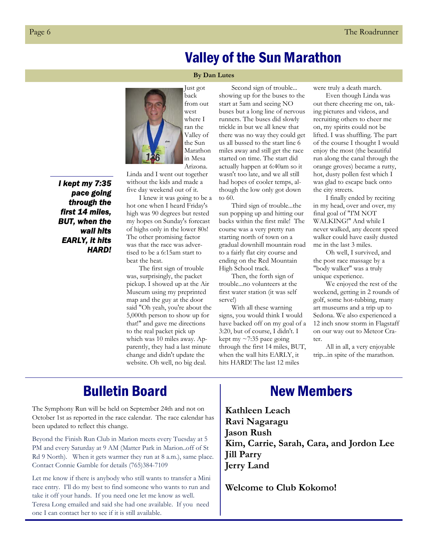### Valley of the Sun Marathon

#### **By Dan Lutes**

Just got back from out west where I ran the Valley of the Sun Marathon in Mesa Arizona.

without the kids and made a *I kept my 7:35 pace going through the first 14 miles, BUT, when the wall hits* 

*EARLY, it hits* 

*HARD!* 

five day weekend out of it. I knew it was going to be a hot one when I heard Friday's high was 90 degrees but rested my hopes on Sunday's forecast of highs only in the lower 80s! The other promising factor was that the race was advertised to be a 6:15am start to

Linda and I went out together

beat the heat. The first sign of trouble was, surprisingly, the packet pickup. I showed up at the Air Museum using my preprinted map and the guy at the door said "Oh yeah, you're about the 5,000th person to show up for that!" and gave me directions to the real packet pick up which was 10 miles away. Apparently, they had a last minute change and didn't update the website. Oh well, no big deal.

Second sign of trouble... showing up for the buses to the start at 5am and seeing NO buses but a long line of nervous runners. The buses did slowly trickle in but we all knew that there was no way they could get us all bussed to the start line 6 miles away and still get the race started on time. The start did actually happen at 6:40am so it wasn't too late, and we all still had hopes of cooler temps, although the low only got down to 60.

Third sign of trouble...the sun popping up and hitting our backs within the first mile! The course was a very pretty run starting north of town on a gradual downhill mountain road to a fairly flat city course and ending on the Red Mountain High School track.

Then, the forth sign of trouble...no volunteers at the first water station (it was self serve!)

With all these warning signs, you would think I would have backed off on my goal of a 3:20, but of course, I didn't. I kept my  $\sim$ 7:35 pace going through the first 14 miles, BUT, when the wall hits EARLY, it hits HARD! The last 12 miles

were truly a death march.

Even though Linda was out there cheering me on, taking pictures and videos, and recruiting others to cheer me on, my spirits could not be lifted. I was shuffling. The part of the course I thought I would enjoy the most (the beautiful run along the canal through the orange groves) became a rutty, hot, dusty pollen fest which I was glad to escape back onto the city streets.

I finally ended by reciting in my head, over and over, my final goal of "I'M NOT WALKING!" And while I never walked, any decent speed walker could have easily dusted me in the last 3 miles.

Oh well, I survived, and the post race massage by a "body walker" was a truly unique experience.

We enjoyed the rest of the weekend, getting in 2 rounds of golf, some hot-tubbing, many art museums and a trip up to Sedona. We also experienced a 12 inch snow storm in Flagstaff on our way out to Meteor Crater.

All in all, a very enjoyable trip...in spite of the marathon.

### Bulletin Board New Members

The Symphony Run will be held on September 24th and not on October 1st as reported in the race calendar. The race calendar has been updated to reflect this change.

Beyond the Finish Run Club in Marion meets every Tuesday at 5 PM and every Saturday at 9 AM (Matter Park in Marion..off of St Rd 9 North). When it gets warmer they run at 8 a.m.), same place. Contact Connie Gamble for details (765)384-7109

Let me know if there is anybody who still wants to transfer a Mini race entry. I'll do my best to find someone who wants to run and take it off your hands. If you need one let me know as well. Teresa Long emailed and said she had one available. If you need one I can contact her to see if it is still available.

**Kathleen Leach Ravi Nagaragu Jason Rush Kim, Carrie, Sarah, Cara, and Jordon Lee Jill Parry Jerry Land** 

**Welcome to Club Kokomo!** 

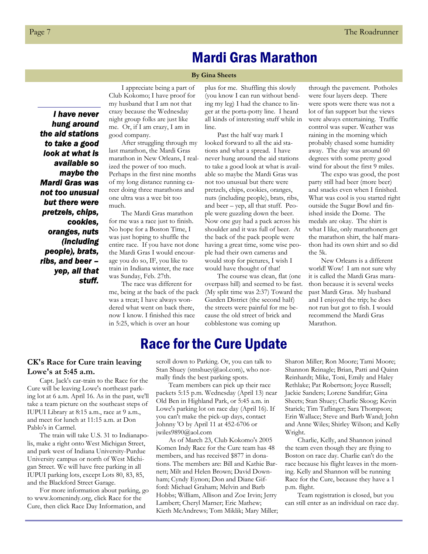### Mardi Gras Marathon

#### **By Gina Sheets**

*I have never hung around the aid stations to take a good look at what is available so maybe the Mardi Gras was not too unusual but there were pretzels, chips, cookies, oranges, nuts (including people), brats, ribs, and beer – yep, all that stuff.* 

I appreciate being a part of Club Kokomo; I have proof for my husband that I am not that crazy because the Wednesday night group folks are just like me. Or, if I am crazy, I am in good company.

After struggling through my last marathon, the Mardi Gras marathon in New Orleans, I realized the power of too much. Perhaps in the first nine months of my long distance running career doing three marathons and one ultra was a wee bit too much.

The Mardi Gras marathon for me was a race just to finish. No hope for a Boston Time, I was just hoping to shuffle the entire race. If you have not done the Mardi Gras I would encourage you do so, IF, you like to train in Indiana winter, the race was Sunday, Feb. 27th.

The race was different for me, being at the back of the pack was a treat; I have always wondered what went on back there, now I know. I finished this race in 5:25, which is over an hour

plus for me. Shuffling this slowly (you know I can run without bending my leg) I had the chance to linger at the porta-potty line. I heard all kinds of interesting stuff while in line.

Past the half way mark I looked forward to all the aid stations and what a spread. I have never hung around the aid stations to take a good look at what is available so maybe the Mardi Gras was not too unusual but there were pretzels, chips, cookies, oranges, nuts (including people), brats, ribs, and beer – yep, all that stuff. People were guzzling down the beer. Now one guy had a pack across his shoulder and it was full of beer. At the back of the pack people were having a great time, some wise people had their own cameras and would stop for pictures, I wish I would have thought of that!

The course was clean, flat (one overpass hill) and seemed to be fast. (My split time was 2:37) Toward the Garden District (the second half) the streets were painful for me because the old street of brick and cobblestone was coming up

through the pavement. Potholes were four layers deep. There were spots were there was not a lot of fan support but the views were always entertaining. Traffic control was super. Weather was raining in the morning which probably chased some humidity away. The day was around 60 degrees with some pretty good wind for about the first 9 miles.

The expo was good, the post party still had beer (more beer) and snacks even when I finished. What was cool is you started right outside the Sugar Bowl and finished inside the Dome. The medals are okay. The shirt is what I like, only marathoners get the marathon shirt, the half marathon had its own shirt and so did the 5k.

New Orleans is a different world! Wow! I am not sure why it is called the Mardi Gras marathon because it is several weeks past Mardi Gras. My husband and I enjoyed the trip; he does not run but got to fish. I would recommend the Mardi Gras Marathon.

### Race for the Cure Update

#### **CK's Race for Cure train leaving Lowe's at 5:45 a.m.**

Capt. Jack's car-train to the Race for the Cure will be leaving Lowe's northeast parking lot at 6 a.m. April 16. As in the past, we'll take a team picture on the southeast steps of IUPUI Library at 8:15 a.m., race at 9 a.m., and meet for lunch at 11:15 a.m. at Don Pablo's in Carmel.

The train will take U.S. 31 to Indianapolis, make a right onto West Michigan Street, and park west of Indiana University-Purdue University campus or north of West Michigan Street. We will have free parking in all IUPUI parking lots, except Lots 80, 83, 85, and the Blackford Street Garage.

For more information about parking, go to www.komenindy.org, click Race for the Cure, then click Race Day Information, and

scroll down to Parking. Or, you can talk to Stan Shuey (stnshuey@aol.com), who normally finds the best parking spots.

Team members can pick up their race packets 5:15 p.m. Wednesday (April 13) near Old Ben in Highland Park, or 5:45 a.m. in Lowe's parking lot on race day (April 16). If you can't make the pick-up days, contact Johnny 'O by April 11 at 452-6706 or jwiles9890@aol.com

As of March 23, Club Kokomo's 2005 Komen Indy Race for the Cure team has 48 members, and has received \$877 in donations. The members are: Bill and Kathie Barnett; Milt and Helen Brown; David Downham; Cyndy Eynon; Don and Diane Gifford: Michael Graham; Melvin and Barb Hobbs; William, Allison and Zoe Irvin; Jerry Lambert; Cheryl Marner; Eric Mathew; Kieth McAndrews; Tom Miklik; Mary Miller;

Sharon Miller; Ron Moore; Tami Moore; Shannon Reinagle; Brian, Patti and Quinn Reinhardt; Mike, Toni, Emily and Haley Rethlake; Pat Robertson; Joyce Russell; Jackie Sanders; Lorene Sandifur; Gina Sheets; Stan Shuey; Charlie Skoog; Kevin Starick; Tim Taflinger; Sara Thompson; Erin Wallace; Steve and Barb Wand; John and Anne Wiles; Shirley Wilson; and Kelly Wright.

Charlie, Kelly, and Shannon joined the team even though they are flying to Boston on race day. Charlie can't do the race because his flight leaves in the morning. Kelly and Shannon will be running Race for the Cure, because they have a 1 p.m. flight.

Team registration is closed, but you can still enter as an individual on race day.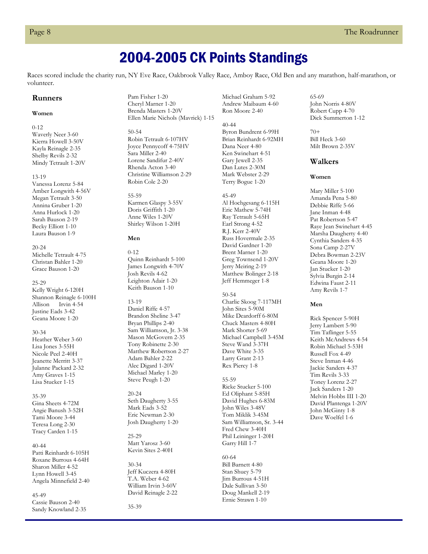### 2004-2005 CK Points Standings

Races scored include the charity run, NY Eve Race, Oakbrook Valley Race, Amboy Race, Old Ben and any marathon, half-marathon, or volunteer.

#### **Runners**

#### **Women**

0-12 Waverly Neer 3-60 Kierra Howell 3-50V Kayla Reinagle 2-35 Shelby Revils 2-32 Mindy Tetrault 1-20V

13-19

Vanessa Lorenz 5-84 Amber Longwith 4-56V Megan Tetrault 3-50 Annina Gruber 1-20 Anna Hurlock 1-20 Sarah Bauson 2-19 Becky Elliott 1-10 Laura Bauson 1-9

20-24 Michelle Tetrault 4-75 Christan Bahler 1-20 Grace Bauson 1-20

25-29 Kelly Wright 6-120H Shannon Reinagle 6-100H Allison Irvin 4-54 Justine Eads 3-42 Geana Moore 1-20

30-34

Heather Weber 3-60 Lisa Jones 3-55H Nicole Peel 2-40H Jeanette Merritt 3-37 Julanne Packard 2-32 Amy Graves 1-15 Lisa Stucker 1-15

35-39 Gina Sheets 4-72M

Angie Banush 3-52H Tami Moore 3-44 Teresa Long 2-30 Tracy Carden 1-15

40-44 Patti Reinhardt 6-105H Roxane Burrous 4-64H Sharon Miller 4-52 Lynn Howell 3-45 Angela Minnefield 2-40

45-49 Cassie Bauson 2-40 Sandy Knowland 2-35

Pam Fisher 1-20 Cheryl Marner 1-20 Brenda Masters 1-20V Ellen Marie Nichols (Mavrick) 1-15

50-54 Robin Tetrault 6-107HV Joyce Pennycoff 4-75HV Sara Miller 2-40 Lorene Sandifur 2-40V Rhenda Acton 3-40 Christine Williamson 2-29 Robin Cole 2-20

55-59 Karmen Glaspy 3-55V Doris Griffith 1-20 Anne Wiles 1-20V Shirley Wilson 1-20H

#### **Men**

0-12 Quinn Reinhardt 5-100 James Longwith 4-70V Josh Revils 4-62 Leighton Adair 1-20 Keith Bauson 1-10

13-19 Daniel Riffe 4-57 Brandon Sheline 3-47 Bryan Phillips 2-40 Sam Williamson, Jr. 3-38 Mason McGovern 2-35 Tony Robinette 2-30 Matthew Robertson 2-27 Adam Bahler 2-22 Alec Digard 1-20V Michael Marley 1-20 Steve Peugh 1-20

20-24 Seth Daugherty 3-55 Mark Eads 3-52 Eric Newman 2-30 Josh Daugherty 1-20

25-29 Matt Yarosz 3-60 Kevin Sites 2-40H

30-34 Jeff Kuczera 4-80H T.A. Weber 4-62 William Irvin 3-60V David Reinagle 2-22

35-39

Michael Graham 5-92 Andrew Maibaum 4-60 Ron Moore 2-40

40-44 Byron Bundrent 6-99H Brian Reinhardt 6-92MH Dana Neer 4-80 Ken Swinehart 4-51 Gary Jewell 2-35 Dan Lutes 2-30M Mark Webster 2-29 Terry Bogue 1-20

45-49 Al Hochgesang 6-115H Eric Mathew 5-74H Ray Tetrault 5-65H Earl Strong 4-52 R.J. Kerr 2-40V Russ Hovermale 2-35 David Gardner 1-20 Brent Marner 1-20 Greg Townsend 1-20V Jerry Meiring 2-19 Matthew Bolinger 2-18 Jeff Hemmeger 1-8

50-54 Charlie Skoog 7-117MH John Sites 5-90M Mike Deardorff 6-80M Chuck Masters 4-80H Mark Shorter 5-69 Michael Campbell 3-45M Steve Wand 3-37H Dave White 3-35 Larry Grant 2-13 Rex Piercy 1-8

55-59 Ricke Stucker 5-100 Ed Oliphant 5-85H David Hughes 6-83M John Wiles 3-48V Tom Miklik 3-45M Sam Williamson, Sr. 3-44 Fred Chew 3-40H Phil Leininger 1-20H Garry Hill 1-7

60-64 Bill Barnett 4-80 Stan Shuey 5-79 Jim Burrous 4-51H Dale Sullivan 3-50 Doug Mankell 2-19 Ernie Strawn 1-10

65-69 John Norris 4-80V Robert Cupp 4-70 Dick Summerton 1-12

70+ Bill Heck 3-60 Milt Brown 2-35V

#### **Walkers**

**Women** 

Mary Miller 5-100 Amanda Pena 5-80 Debbie Riffe 5-66 Jane Inman 4-48 Pat Robertson 5-47 Raye Jean Swinehart 4-45 Marsha Daugherty 4-40 Cynthia Sanders 4-35 Sona Camp 2-27V Debra Bowman 2-23V Geana Moore 1-20 Jan Stucker 1-20 Sylvia Burgin 2-14 Edwina Faust 2-11 Amy Revils 1-7

#### **Men**

Rick Spencer 5-90H Jerry Lambert 5-90 Tim Taflinger 5-55 Keith McAndrews 4-54 Robin Michael 5-53H Russell Fox 4-49 Steve Inman 4-46 Jackie Sanders 4-37 Tim Revils 3-33 Toney Lorenz 2-27 Jack Sanders 1-20 Melvin Hobbs III 1-20 David Plantenga 1-20V John McGinty 1-8 Dave Woelfel 1-6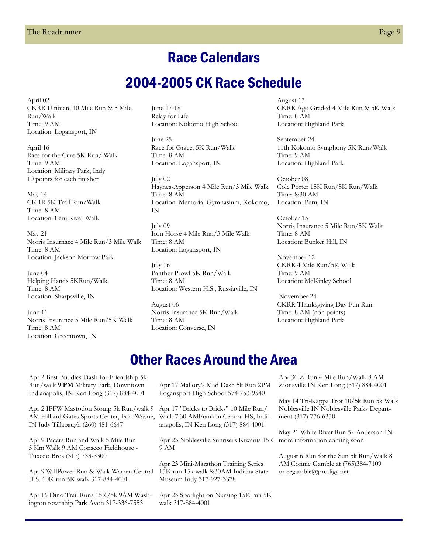### Race Calendars

### 2004-2005 CK Race Schedule

April 02 CKRR Ultimate 10 Mile Run & 5 Mile Run/Walk Time: 9 AM Location: Logansport, IN

April 16 Race for the Cure 5K Run/ Walk Time: 9 AM Location: Military Park, Indy 10 points for each finisher

May 14 CKRR 5K Trail Run/Walk Time: 8 AM Location: Peru River Walk

May 21 Norris Insurnace 4 Mile Run/3 Mile Walk Time: 8 AM Location: Jackson Morrow Park

June 04 Helping Hands 5KRun/Walk Time: 8 AM Location: Sharpsville, IN

June 11 Norris Insurance 5 Mile Run/5K Walk Time: 8 AM Location: Greentown, IN

June 17-18 Relay for Life Location: Kokomo High School

June 25 Race for Grace, 5K Run/Walk Time: 8 AM Location: Logansport, IN

July 02 Haynes-Apperson 4 Mile Run/3 Mile Walk Time: 8 AM Location: Memorial Gymnasium, Kokomo, IN

July 09 Iron Horse 4 Mile Run/3 Mile Walk Time: 8 AM Location: Logansport, IN

July 16 Panther Prowl 5K Run/Walk Time: 8 AM Location: Western H.S., Russiaville, IN

August 06 Norris Insurance 5K Run/Walk Time: 8 AM Location: Converse, IN

August 13 CKRR Age-Graded 4 Mile Run & 5K Walk Time: 8 AM Location: Highland Park

September 24 11th Kokomo Symphony 5K Run/Walk Time: 9 AM Location: Highland Park

October 08 Cole Porter 15K Run/5K Run/Walk Time: 8:30 AM Location: Peru, IN

October 15 Norris Insurance 5 Mile Run/5K Walk Time: 8 AM Location: Bunker Hill, IN

November 12 CKRR 4 Mile Run/5K Walk Time: 9 AM Location: McKinley School

 November 24 CKRR Thanksgiving Day Fun Run Time: 8 AM (non points) Location: Highland Park

### Other Races Around the Area

Apr 2 Best Buddies Dash for Friendship 5k Run/walk 9 **PM** Military Park, Downtown Indianapolis, IN Ken Long (317) 884-4001

Apr 2 IPFW Mastodon Stomp 5k Run/walk 9 AM Hilliard Gates Sports Center, Fort Wayne, IN Judy Tillapaugh (260) 481-6647

Apr 9 Pacers Run and Walk 5 Mile Run 5 Km Walk 9 AM Conseco Fieldhouse - Tuxedo Bros (317) 733-3300

Apr 9 WillPower Run & Walk Warren Central H.S. 10K run 5K walk 317-884-4001

Apr 16 Dino Trail Runs 15K/5k 9AM Washington township Park Avon 317-336-7553

Apr 17 Mallory's Mad Dash 5k Run 2PM Logansport High School 574-753-9540

Apr 17 "Bricks to Bricks" 10 Mile Run/ Walk 7:30 AMFranklin Central HS, Indianapolis, IN Ken Long (317) 884-4001

Apr 23 Noblesville Sunrisers Kiwanis 15K more information coming soon 9 AM

Apr 23 Mini-Marathon Training Series 15K run 15k walk 8:30AM Indiana State Museum Indy 317-927-3378

Apr 23 Spotlight on Nursing 15K run 5K walk 317-884-4001

Apr 30 Z Run 4 Mile Run/Walk 8 AM Zionsville IN Ken Long (317) 884-4001

May 14 Tri-Kappa Trot 10/5k Run 5k Walk Noblesville IN Noblesville Parks Department (317) 776-6350

May 21 White River Run 5k Anderson IN-

August 6 Run for the Sun 5k Run/Walk 8 AM Connie Gamble at (765)384-7109 or eegamble@prodigy.net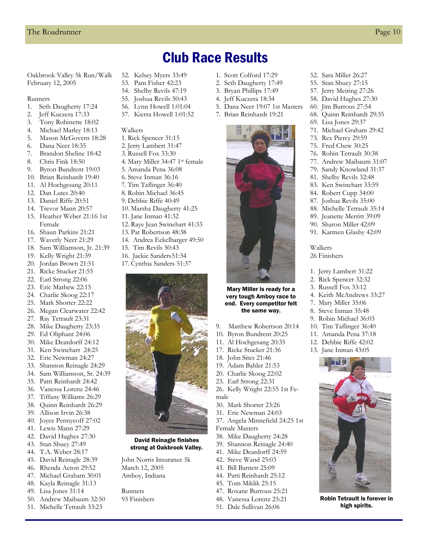52. Sara Miller 26:27 55. Stan Shuey 27:15 57. Jerry Meiring 27:26 58. David Hughes 27:30 60. Jim Burrous 27:54 68. Quinn Reinhardt 29:35 69. Lisa Jones 29:37 71. Michael Graham 29:42 73. Rex Piercy 29:59 75. Fred Chew 30:25 76. Robin Tetrault 30:38 77. Andrew Maibaum 31:07 79. Sandy Knowland 31:37 81. Shelby Revils 32:48 83. Ken Swinehart 33:59 84. Robert Cupp 34:00 87. Joshua Revils 35:00 88. Michelle Tetrault 35:14 89. Jeanette Merritt 39:09 90. Sharon Miller 42:09 91. Karmen Glasby 42:09

Walkers 26 Finishers

1. Jerry Lambert 31:22 2. Rick Spencer 32:32 3. Russell Fox 33:12 4. Keith McAndrews 33:27 7. Mary Miller 35:06 8. Steve Inman 35:48 9. Robin Michael 36:03 10. Tim Taflinger 36:40 11. Amanda Pena 37:18 12. Debbie Riffe 42:02 13. Jane Inman 43:05

> Robin Tetrault is forever in high spirits.

### Club Race Results

Oakbrook Valley 5k Run/Walk February 12, 2005

#### Runners

- 1. Seth Daugherty 17:24
- 2. Jeff Kuczera 17:33
- 3. Tony Robinette 18:02
- 4. Michael Marley 18:13
- 5. Mason McGovern 18:28
- 6. Dana Neer 18:35
- 7. Brandon Sheline 18:42
- 8. Chris Fink 18:50
- 9. Byron Bundrent 19:03
- 10. Brian Reinhardt 19:40
- 11. Al Hochgesang 20:11
- 12. Dan Lutes 20:40
- 13. Daniel Riffe 20:51
- 14. Trevor Mann 20:57
- 15. Heather Weber 21:16 1st Female
- 16. Shaun Parkins 21:21
- 17. Waverly Neer 21:29
- 18. Sam Williamson, Jr. 21:39
- 19. Kelly Wright 21:39
- 20. Jordan Brown 21:51
- 21. Ricke Stucker 21:55
- 22. Earl Strong 22:06
- 23. Eric Mathew 22:15
- 24. Charlie Skoog 22:17
- 25. Mark Shorter 22:22
- 26. Megan Clearwater 22:42
- 27. Ray Tetrault 23:31
- 28. Mike Daugherty 23:35
- 29. Ed Oliphant 24:06 30. Mike Deardorff 24:12
- 31. Ken Swinehart 24:25
- 32. Eric Newman 24:27
- 33. Shannon Reinagle 24:29
- 34. Sam Williamson, Sr. 24:39
- 35. Patti Reinhardt 24:42
- 36. Vanessa Lorenz 24:46
- 37. Tiffany Williams 26:29
- 38. Quinn Reinhardt 26:29
- 39. Allison Irvin 26:38
- 40. Joyce Pennycoff 27:02
- 41. Lewis Mann 27:29
- 42. David Hughes 27:30
- 43. Stan Shuey 27:49
- 44. T.A. Weber 28:17
- 45. David Reinagle 28:39
- 46. Rhenda Acton 29:52
- 47. Michael Graham 30:01
- 48. Kayla Reinagle 31:13
- 49. Lisa Jones 31:14
- 50. Andrew Maibaum 32:50
- 51. Michelle Tetrault 33:23
- 52. Kelsey Myers 33:49
- 53. Pam Fisher 42:23 54. Shelby Revils 47:19
- 55. Joshua Revils 50:43
- 56. Lynn Howell 1:01:04
- 57. Kierra Howell 1:01:52

#### Walkers

- 1. Rick Spencer 31:15
- 2. Jerry Lambert 31:47
- 3. Russell Fox 33:30
- 4. Mary Miller 34:47 1st female
- 5. Amanda Pena 36:08
- 6. Steve Inman 36:16
- 7. Tim Taflinger 36:40
- 8. Robin Michael 36:45
- 9. Debbie Riffe 40:49
- 10. Marsha Daugherty 41:25
- 11. Jane Inman 41:32
- 12. Raye Jean Swinehart 41:33
- 
- 
- 
- 17. Cynthia Sanders 51:37



David Reinagle finishes strong at Oakbrook Valley.

John Norris Insurance 5k March 12, 2005 Amboy, Indiana

Runners 93 Finishers

1. Scott Colford 17:29 2. Seth Daugherty 17:49 3. Bryan Phillips 17:49 4. Jeff Kuczera 18:34

5. Dana Neer 19:07 1st Masters 7. Brian Reinhardt 19:21

- 
- 
- 
- 
- 
- 13. Pat Robertson 48:38
- 14. Andrea Eckelbarger 49:50
	- 15. Tim Revils 50:43
	- 16. Jackie Sanders 51:34
- 9. Matthew Robertson 20:14 10. Byron Bundrent 20:25 Mary Miller is ready for a very tough Amboy race to end. Every competitor felt the same way.
	-
	- 11. Al Hochgesang 20:35
	- 17. Ricke Stucker 21:36
	- 18. John Sites 21:46 19. Adam Bahler 21:53
	- 20. Charlie Skoog 22:02
	- 23. Earl Strong 22:31
	- 26. Kelly Wright 22:55 1st Female

37. Angela Minnefield 24:25 1st

30. Mark Shorter 23:26 31. Eric Newman 24:03

38. Mike Daugherty 24:28 39. Shannon Reinagle 24:40 41. Mike Deardorff 24:59 42. Steve Wand 25:03 43. Bill Barnett 25:09 44. Patti Reinhardt 25:12 45. Tom Miklik 25:15 47. Roxane Burrous 25:21 48. Vanessa Lorenz 25:21 51. Dale Sullivan 26:06

Female Masters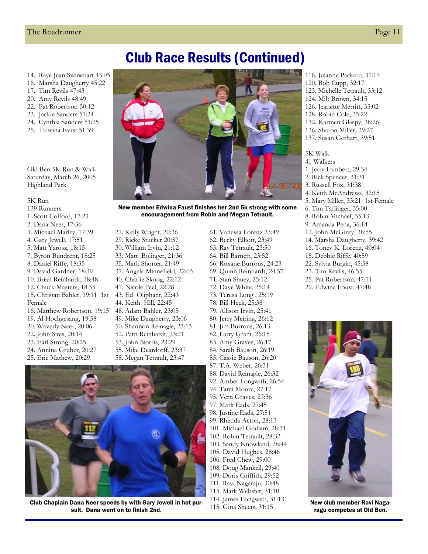### Club Race Results (Continued)

- 14. Raye Jean Swinehart 43:05
- 16. Marsha Daugherty 45:22
- 17. Tim Revils 47:43
- 20. Amy Revils 48:49
- 22. Pat Robertson 50:12
- 23. Jackie Sanders 51:24
- 24. Cynthia Sanders 51:25
- 25. Edwina Faust 51:39

Old Ben 5K Run & Walk Saturday, March 26, 2005 Highland Park

#### 5K Run

- 139 Runners
- 1. Scott Colford, 17:23
- 2. Dana Neer, 17:36
- 3. Michael Marley, 17:39
- 4. Gary Jewell, 17:51
- 5. Matt Yarosz, 18:15
- 7. Byron Bundrent, 18:25
- 8. Daniel Riffe, 18:35
- 9. David Gardner, 18:39
- 10. Brian Reinhardt, 18:48
- 12. Chuck Masters, 18:55
- 15. Christan Bahler, 19:11 1st
- Female
- 16. Matthew Robertson, 19:15
- 19. Al Hochgesang, 19:58
- 20. Waverly Neer, 20:06
- 22. John Sites, 20:14
- 23. Earl Strong, 20:25
- 24. Annina Gruber, 20:27
- 25. Eric Mathew, 20:29



New member Edwina Faust finishes her 2nd 5k strong with some encouragement from Robin and Megan Tetrault.

27. Kelly Wright, 20:36 29. Ricke Stucker 20:37 30. William Irvin, 21:12 33. Matt Bolinger, 21:36 35. Mark Shorter, 21:49 37. Angela Minnefield, 22:03 40. Charlie Skoog, 22:12 41. Nicole Peel, 22:28 43. Ed Oliphant, 22:43 44. Keith Hill, 22:45 48. Adam Bahler, 23:05 49. Mike Daugherty, 23:06 50. Shannon Reinagle, 23:13 52. Patti Reinhardt, 23:21 53. John Norris, 23:29 55. Mike Deardorff, 23:37 58. Megan Tetrault, 23:47

Club Chaplain Dana Neer speeds by with Gary Jewell in hot pursuit. Dana went on to finish 2nd.

62. Becky Elliott, 23:49 63. Ray Tetrault, 23:50 64. Bill Barnett, 23:52 66. Roxane Burrous, 24:23 69. Quinn Reinhardt, 24:57 71. Stan Shuey, 25:12 72. Dave White, 25:14 73. Teresa Long , 25:19 78. Bill Heck, 25:38 79. Allison Irvin, 25:41 80. Jerry Meiring, 26:12 81. Jim Burrous, 26:13 82. Larry Grant, 26:15 83. Amy Graves, 26:17 84. Sarah Bauson, 26:19 85. Cassie Bauson, 26:20 87. T.A. Weber, 26:31 88. David Reinagle, 26:32 92. Amber Longwith, 26:54 94. Tami Moore, 27:17 95. Vern Graves, 27:36 97. Mark Eads, 27:45 98. Justine Eads, 27:51 99. Rhenda Acton, 28:13 101. Michael Graham, 28:31 102. Robin Tetrault, 28:33 103. Sandy Knowland, 28:44 105. David Hughes, 28:46 106. Fred Chew, 29:00 108. Doug Mankell, 29:40 109. Doris Griffith, 29:52 111. Ravi Nagaraju, 30:48 113. Mark Webster, 31:10 114. James Longwith, 31:13

61. Vanessa Lorenz 23:49

115. Gina Sheets, 31:15

- 116. Julanne Packard, 31:17 120. Bob Cupp, 32:17
- 123. Michelle Tetrault, 33:12
- 124. Milt Brown, 34:15
- 126. Jeanette Merritt, 35:02
- 128. Robin Cole, 35:22
- 132. Karmen Glaspy, 38:26
- 136. Sharon Miller, 39:27 137. Susan Gerhart, 39:51
- 

#### 5K Walk

- 41 Walkers
- 1. Jerry Lambert, 29:34
- 2. Rick Spencer, 31:31
- 3. Russell Fox, 31:38
- 4. Keith McAndrews, 32:15
- 5. Mary Miller, 33:21 1st Female
- 6. Tim Taflinger, 35:00
- 8. Robin Michael, 35:13
- 9. Amanda Pena, 36:14
- 12. John McGinty, 38:55
- 14. Marsha Daugherty, 39:42
- 16. Toney K. Lorenz, 40:04
- 18. Debbie Riffe, 40:59
- 22. Sylvia Burgin, 45:58
- 23. Tim Revils, 46:55
- 25. Pat Robertson, 47:11
- 29. Edwina Foust, 47:48



New club member Ravi Nagaragu competes at Old Ben.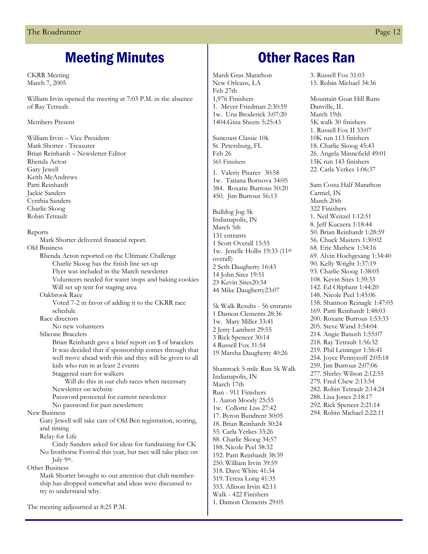### Meeting Minutes

CKRR Meeting March 7, 2005

William Irvin opened the meeting at 7:03 P.M. in the absence of Ray Tetrault.

#### Members Present

William Irvin – Vice President Mark Shorter - Treasurer Brian Reinhardt – Newsletter Editor Rhenda Acton Gary Jewell Keith McAndrews Patti Reinhardt Jackie Sanders Cynthia Sanders Charlie Skoog Robin Tetrault

#### Reports

Mark Shorter delivered financial report.

Old Business Rhenda Acton reported on the Ultimate Challenge Charlie Skoog has the finish line set-up Flyer was included in the March newsletter Volunteers needed for water stops and baking cookies Will set up tent for staging area Oakbrook Race

 Voted 7-2 in favor of adding it to the CKRR race schedule

Race directors

No new volunteers

Silicone Bracelets

 Brian Reinhardt gave a brief report on \$ of bracelets It was decided that if sponsorship comes through that well move ahead with this and they will be given to all kids who run in at least 2 events

Staggered start for walkers

 Will do this in our club races when necessary Newsletter on website

Password protected for current newsletter

No password for past newsletters

New Business

Gary Jewell will take care of Old Ben registration, scoring, and timing

Relay for Life

Cindy Sanders asked for ideas for fundraising for CK No Ironhorse Festival this year, but race will take place on July 9th.

Other Business

Mark Shorter brought to our attention that club membership has dropped somewhat and ideas were discussed to try to understand why.

The meeting ajdjourned at 8:25 P.M.

### Other Races Ran

Mardi Gras Marathon New Orleans, LA Feb 27th 1,976 Finishers 1. Meyer Friedman 2:30:59 1w. Una Broderick 3:07:20 1404.Gina Sheets 5:25:43

Suncoast Classic 10k St. Petersburg, FL Feb 26 565 Finishers

1. Valeriy Pisarev 30:58 1w. Tatiana Borisova 34:05 384. Roxane Burrous 50:20 450. Jim Burrous 56:13

Bulldog Jog 5k Indianapolis, IN March 5th 131 entrants 1 Scott Overall 15:55 1w. Jenelle Hollis 19:33 (11th overall) 2 Seth Daugherty 16:43 14 John Sites 19:51 23 Kevin Sites20:34 44 Mike Daugherty23:07

5k Walk Results - 56 entrants 1 Damon Clements 28:36 1w. Mary Miller 33:41 2 Jerry Lambert 29:55 3 Rick Spencer 30:14 4 Russell Fox 31:54 19 Marsha Daugherty 40:26

Shamrock 5-mile Run 5k Walk Indianapolis, IN March 17th Run - 911 Finishers 1. Aaron Moody 25:55 1w. Collotte Liss 27:42 17. Byron Bundrent 30:05 18. Brian Reinhardt 30:24 55. Carla Yerkes 33:26 88. Charlie Skoog 34:57 188. Nicole Peel 38:32 192. Patti Reinhardt 38:39 250. William Irvin 39:59 318. Dave White 41:34 319. Teresa Long 41:35 353. Allison Irvin 42:11 Walk - 422 Finishers 1. Damon Clements 29:05

3. Russell Fox 31:03 15. Robin Michael 34:36

Mountain Goat Hill Runs Danville, IL. March 19th 5K walk 30 finishers 1. Russell Fox II 33:07 10K run 113 finishers 18. Charlie Skoog 45:43 26. Angela Minnefield 49:01 15K run 143 finishers 22. Carla Yerkes 1:06:37

Sam Costa Half Marathon Carmel, IN March 20th 322 Finishers 1. Neil Weitzel 1:12:51 8. Jeff Kuczera 1:18:44 50. Brian Reinhardt 1:28:59 56. Chuck Masters 1:30:02 68. Eric Mathew 1:34:16 69. Alvin Hochgesang 1:34:40 90. Kelly Wright 1:37:19 93. Charlie Skoog 1:38:05 108. Kevin Sites 1:39:33 142. Ed Oliphant 1:44:20 148. Nicole Peel 1:45:06 158. Shannon Reinagle 1:47:05 169. Patti Reinhardt 1:48:03 200. Roxane Burrous 1:53:33 205. Steve Wand 1:54:04 214. Angie Banush 1:55:07 218. Ray Tetrault 1:56:32 219. Phil Leininger 1:56:41 254. Joyce Pennycoff 2:05:18 259. Jim Burrous 2:07:06 277. Shirley Wilson 2:12:55 279. Fred Chew 2:13:54 282. Robin Tetrault 2:14:24 288. Lisa Jones 2:18:17 292. Rick Spencer 2:21:14 294. Robin Michael 2:22:11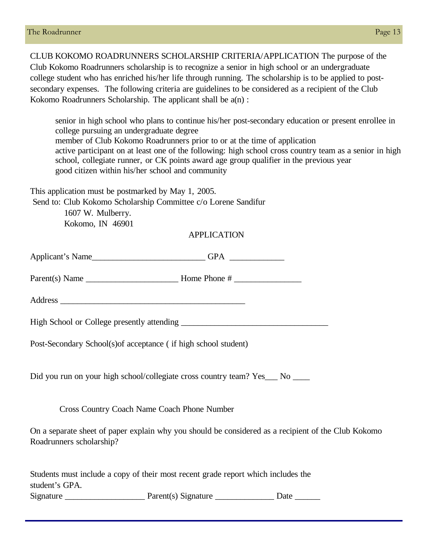CLUB KOKOMO ROADRUNNERS SCHOLARSHIP CRITERIA/APPLICATION The purpose of the Club Kokomo Roadrunners scholarship is to recognize a senior in high school or an undergraduate college student who has enriched his/her life through running. The scholarship is to be applied to postsecondary expenses. The following criteria are guidelines to be considered as a recipient of the Club Kokomo Roadrunners Scholarship. The applicant shall be a(n) :

senior in high school who plans to continue his/her post-secondary education or present enrollee in college pursuing an undergraduate degree member of Club Kokomo Roadrunners prior to or at the time of application active participant on at least one of the following: high school cross country team as a senior in high school, collegiate runner, or CK points award age group qualifier in the previous year good citizen within his/her school and community

This application must be postmarked by May 1, 2005.

Send to: Club Kokomo Scholarship Committee c/o Lorene Sandifur

1607 W. Mulberry. Kokomo, IN 46901

#### APPLICATION

| Post-Secondary School(s) of acceptance (if high school student)                                                                 |
|---------------------------------------------------------------------------------------------------------------------------------|
| Did you run on your high school/collegiate cross country team? Yes___ No ____                                                   |
| Cross Country Coach Name Coach Phone Number                                                                                     |
| On a separate sheet of paper explain why you should be considered as a recipient of the Club Kokomo<br>Roadrunners scholarship? |
| Students must include a copy of their most recent grade report which includes the<br>student's GPA.                             |

Signature \_\_\_\_\_\_\_\_\_\_\_\_\_\_\_\_\_\_\_ Parent(s) Signature \_\_\_\_\_\_\_\_\_\_\_\_\_\_ Date \_\_\_\_\_\_